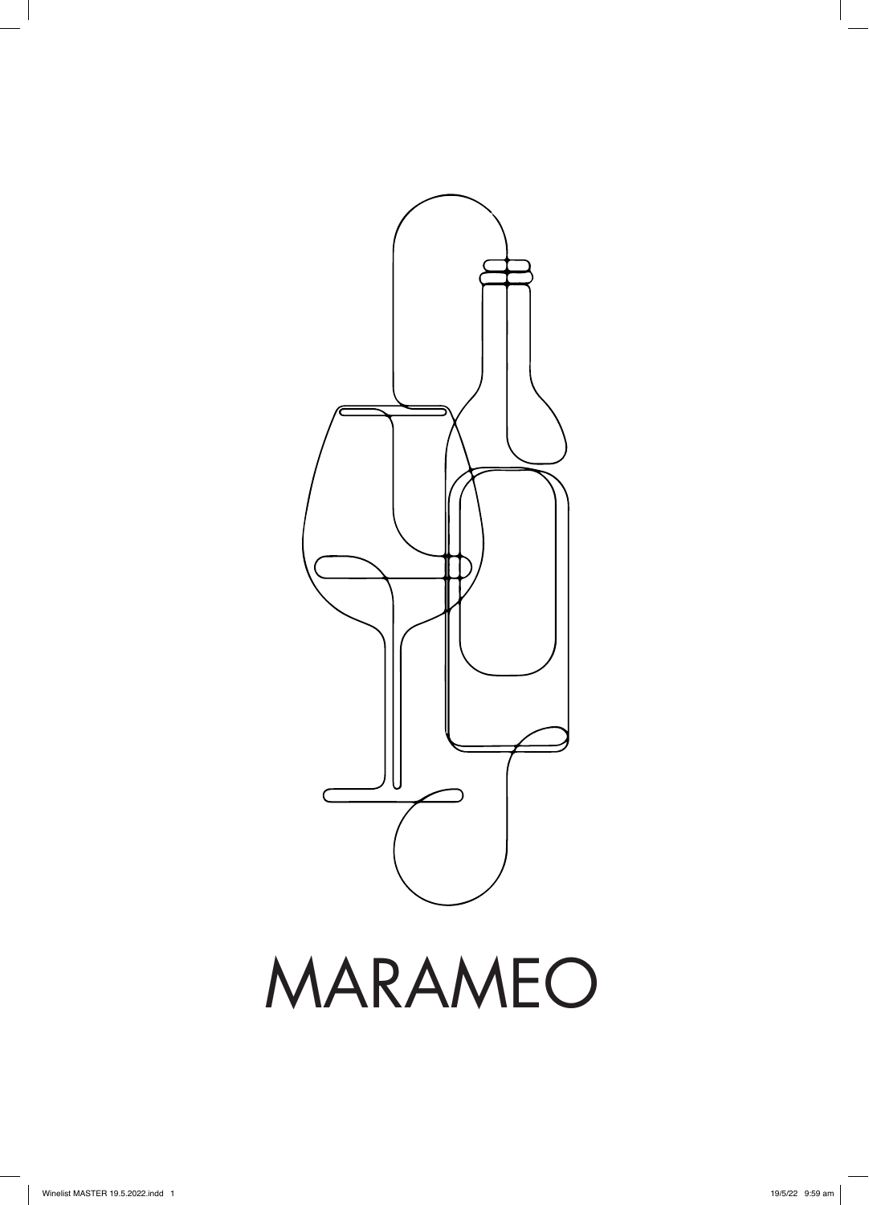

MARAMEO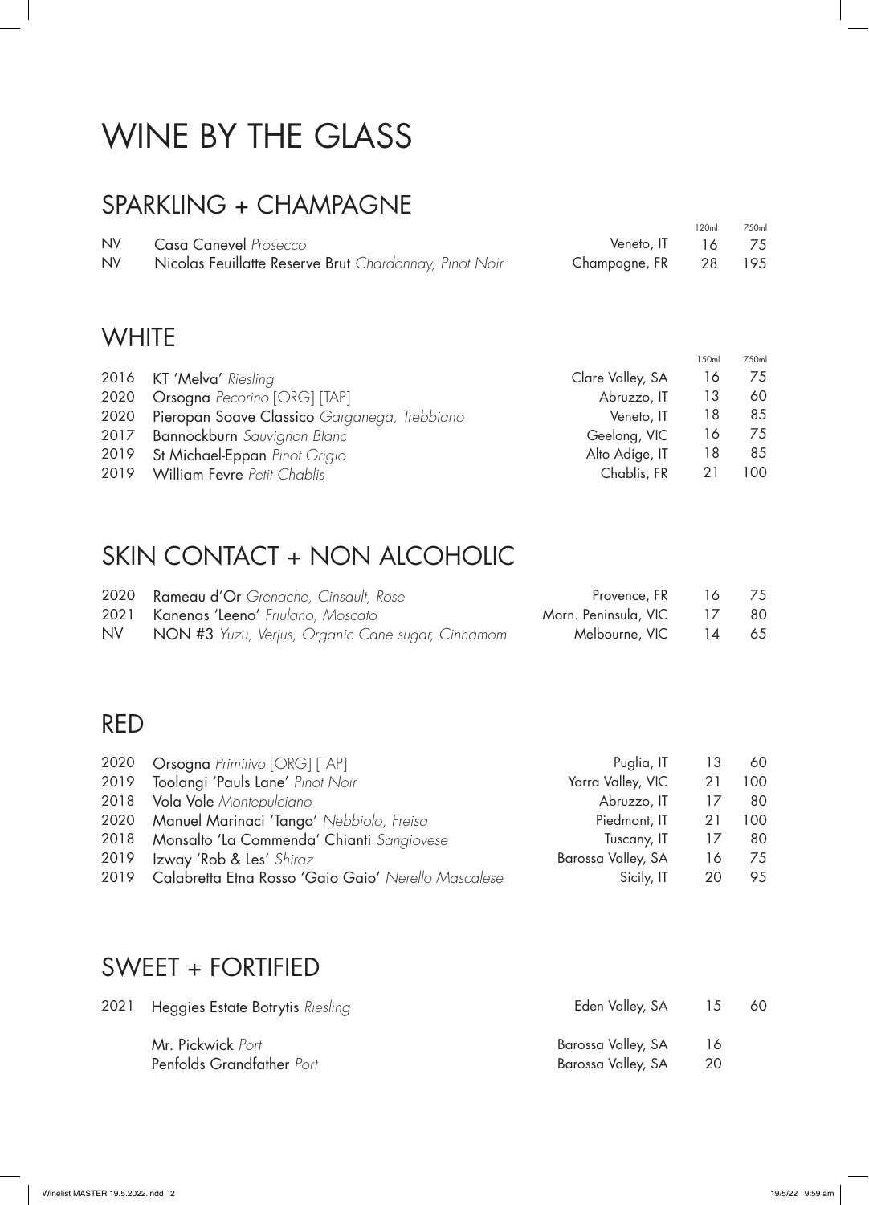# WINE BY THE GLASS

#### SPARKLING + CHAMPAGNE

|           |                                                        |                      | 120ml | 750ml |
|-----------|--------------------------------------------------------|----------------------|-------|-------|
| NV.       | <b>Casa Canevel</b> Prosecco                           | Veneto, IT $16$ 75   |       |       |
| <b>NV</b> | Nicolas Feuillatte Reserve Brut Chardonnay, Pinot Noir | Champagne, FR 28 195 |       |       |

#### **WHITE**

|                                                   |                  | 150ml | 750ml |
|---------------------------------------------------|------------------|-------|-------|
| 2016 KT 'Melva' Riesling                          | Clare Valley, SA | 16    | 75    |
| 2020 Orsogna Pecorino [ORG] [TAP]                 | Abruzzo, IT      | 13    | 60    |
| 2020 Pieropan Soave Classico Garganega, Trebbiano | Veneto, IT       | 18    | 85    |
| 2017 Bannockburn Sauvignon Blanc                  | Geelong, VIC     | 16    | 75    |
| 2019 St Michael-Eppan Pinot Grigio                | Alto Adige, IT   | 18    | 85    |
| 2019 William Fevre Petit Chablis                  | Chablis, FR      | 21    | 100.  |

#### SKIN CONTACT + NON ALCOHOLIC

|     | 2020 Rameau d'Or Grenache, Cinsault, Rose         | Provence, FR 16 75         |  |
|-----|---------------------------------------------------|----------------------------|--|
|     | 2021 Kanenas 'Leeno' Friulano, Moscato            | Morn. Peninsula, VIC 17 80 |  |
| NV. | NON #3 Yuzu, Verjus, Organic Cane sugar, Cinnamom | Melbourne, VIC 14 65       |  |

#### RED

|      | 2020 Orsogna Primitivo [ORG] [TAP]                       | Puglia, IT         | 13 | 60  |
|------|----------------------------------------------------------|--------------------|----|-----|
|      | 2019 Toolangi 'Pauls Lane' Pinot Noir                    | Yarra Valley, VIC  | 21 | 100 |
|      | 2018 Vola Vole Montepulciano                             | Abruzzo, IT        | 17 | 80  |
|      | 2020 Manuel Marinaci 'Tango' Nebbiolo, Freisa            | Piedmont, IT       | 21 | 100 |
|      | 2018 Monsalto 'La Commenda' Chianti Sangiovese           | Tuscany, IT        | 17 | 80  |
| 2019 | Izway 'Rob & Les' Shiraz                                 | Barossa Valley, SA | 16 | 75  |
|      | 2019 Calabretta Etna Rosso 'Gaio Gaio' Nerello Mascalese | Sicily, IT         | 20 | 95  |

#### SWEET + FORTIFIED

| 2021 Heggies Estate Botrytis Riesling          | Eden Valley, SA                          | -15      | 60 |
|------------------------------------------------|------------------------------------------|----------|----|
| Mr. Pickwick Port<br>Penfolds Grandfather Port | Barossa Valley, SA<br>Barossa Valley, SA | 16<br>20 |    |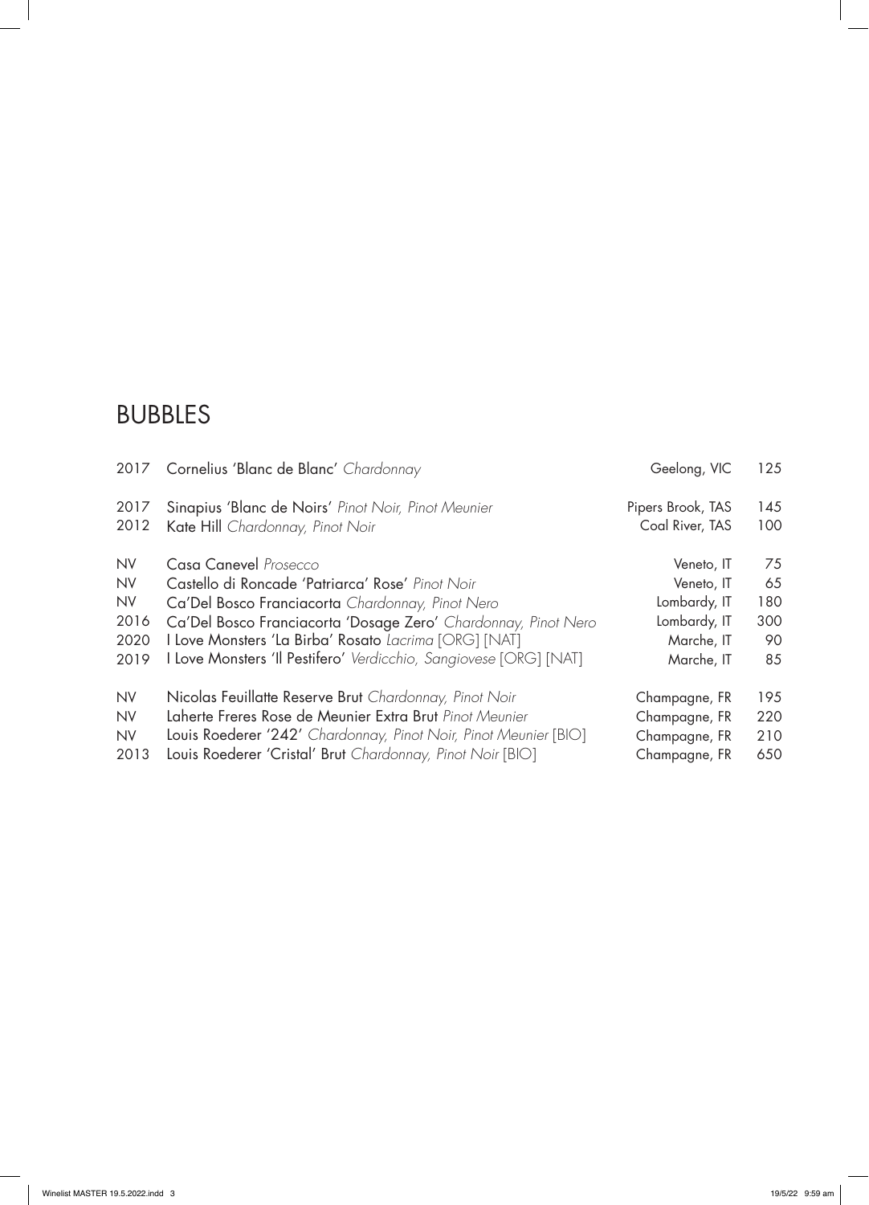#### BUBBLES

| 2017      | Cornelius 'Blanc de Blanc' Chardonnay                             | Geelong, VIC      | 125 |
|-----------|-------------------------------------------------------------------|-------------------|-----|
| 2017      | Sinapius 'Blanc de Noirs' Pinot Noir, Pinot Meunier               | Pipers Brook, TAS | 145 |
| 2012      | Kate Hill Chardonnay, Pinot Noir                                  | Coal River, TAS   | 100 |
| <b>NV</b> | Casa Canevel Prosecco                                             | Veneto, IT        | 75  |
| <b>NV</b> | Castello di Roncade 'Patriarca' Rose' Pinot Noir                  | Veneto, IT        | 65  |
| <b>NV</b> | Ca'Del Bosco Franciacorta Chardonnay, Pinot Nero                  | Lombardy, IT      | 180 |
| 2016      | Ca'Del Bosco Franciacorta 'Dosage Zero' Chardonnay, Pinot Nero    | Lombardy, IT      | 300 |
| 2020      | I Love Monsters 'La Birba' Rosato Lacrima [ORG] [NAT]             | Marche, IT        | 90  |
| 2019      | I Love Monsters 'Il Pestifero' Verdicchio, Sangiovese [ORG] [NAT] | Marche, IT        | 85  |
| <b>NV</b> | Nicolas Feuillatte Reserve Brut Chardonnay, Pinot Noir            | Champagne, FR     | 195 |
| <b>NV</b> | Laherte Freres Rose de Meunier Extra Brut Pinot Meunier           | Champagne, FR     | 220 |
| <b>NV</b> | Louis Roederer '242' Chardonnay, Pinot Noir, Pinot Meunier [BIO]  | Champagne, FR     | 210 |
| 2013      | Louis Roederer 'Cristal' Brut Chardonnay, Pinot Noir [BIO]        | Champagne, FR     | 650 |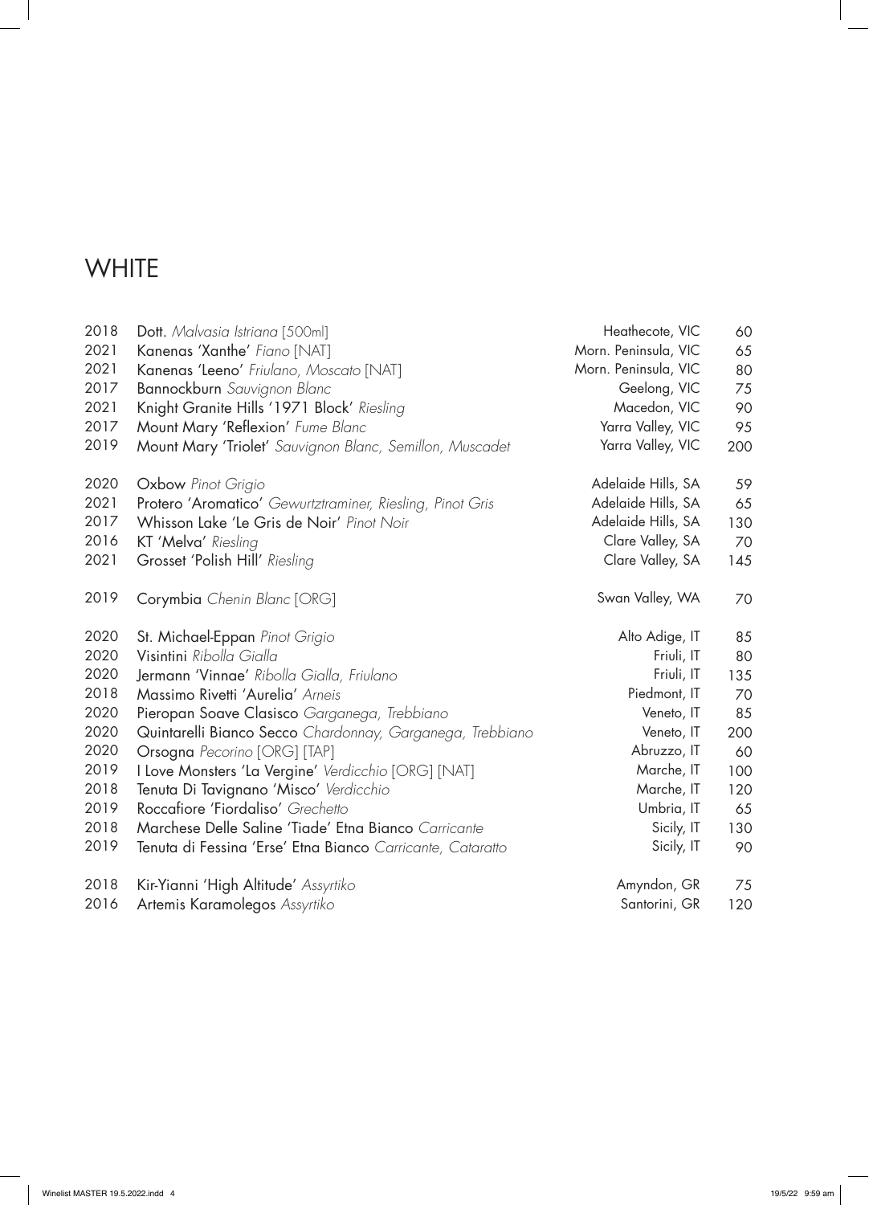## **WHITE**

| 2018 | Dott. Malvasia Istriana [500ml]                            | Heathecote, VIC      | 60  |
|------|------------------------------------------------------------|----------------------|-----|
| 2021 | Kanenas 'Xanthe' Fiano [NAT]                               | Morn. Peninsula, VIC | 65  |
| 2021 | Kanenas 'Leeno' Friulano, Moscato [NAT]                    | Morn. Peninsula, VIC | 80  |
| 2017 | Bannockburn Sauvignon Blanc                                | Geelong, VIC         | 75  |
| 2021 | Knight Granite Hills '1971 Block' Riesling                 | Macedon, VIC         | 90  |
| 2017 | Mount Mary 'Reflexion' Fume Blanc                          | Yarra Valley, VIC    | 95  |
| 2019 | Mount Mary 'Triolet' Sauvignon Blanc, Semillon, Muscadet   | Yarra Valley, VIC    | 200 |
| 2020 | Oxbow Pinot Grigio                                         | Adelaide Hills, SA   | 59  |
| 2021 | Protero 'Aromatico' Gewurtztraminer, Riesling, Pinot Gris  | Adelaide Hills, SA   | 65  |
| 2017 | Whisson Lake 'Le Gris de Noir' Pinot Noir                  | Adelaide Hills, SA   | 130 |
| 2016 | KT 'Melva' Riesling                                        | Clare Valley, SA     | 70  |
| 2021 | Grosset 'Polish Hill' Riesling                             | Clare Valley, SA     | 145 |
| 2019 | Corymbia Chenin Blanc [ORG]                                | Swan Valley, WA      | 70  |
| 2020 | St. Michael-Eppan Pinot Grigio                             | Alto Adige, IT       | 85  |
| 2020 | Visintini Ribolla Gialla                                   | Friuli, IT           | 80  |
| 2020 | Jermann 'Vinnae' Ribolla Gialla, Friulano                  | Friuli, IT           | 135 |
| 2018 | Massimo Rivetti 'Aurelia' Arneis                           | Piedmont, IT         | 70  |
| 2020 | Pieropan Soave Clasisco Garganega, Trebbiano               | Veneto, IT           | 85  |
| 2020 | Quintarelli Bianco Secco Chardonnay, Garganega, Trebbiano  | Veneto, IT           | 200 |
| 2020 | Orsogna Pecorino [ORG] [TAP]                               | Abruzzo, IT          | 60  |
| 2019 | I Love Monsters 'La Vergine' Verdicchio [ORG] [NAT]        | Marche, IT           | 100 |
| 2018 | Tenuta Di Tavignano 'Misco' Verdicchio                     | Marche, IT           | 120 |
| 2019 | Roccafiore 'Fiordaliso' Grechetto                          | Umbria, IT           | 65  |
| 2018 | Marchese Delle Saline 'Tiade' Etna Bianco Carricante       | Sicily, IT           | 130 |
| 2019 | Tenuta di Fessina 'Erse' Etna Bianco Carricante, Cataratto | Sicily, IT           | 90  |
| 2018 | Kir-Yianni 'High Altitude' Assyrtiko                       | Amyndon, GR          | 75  |
| 2016 | Artemis Karamolegos Assyrtiko                              | Santorini, GR        | 120 |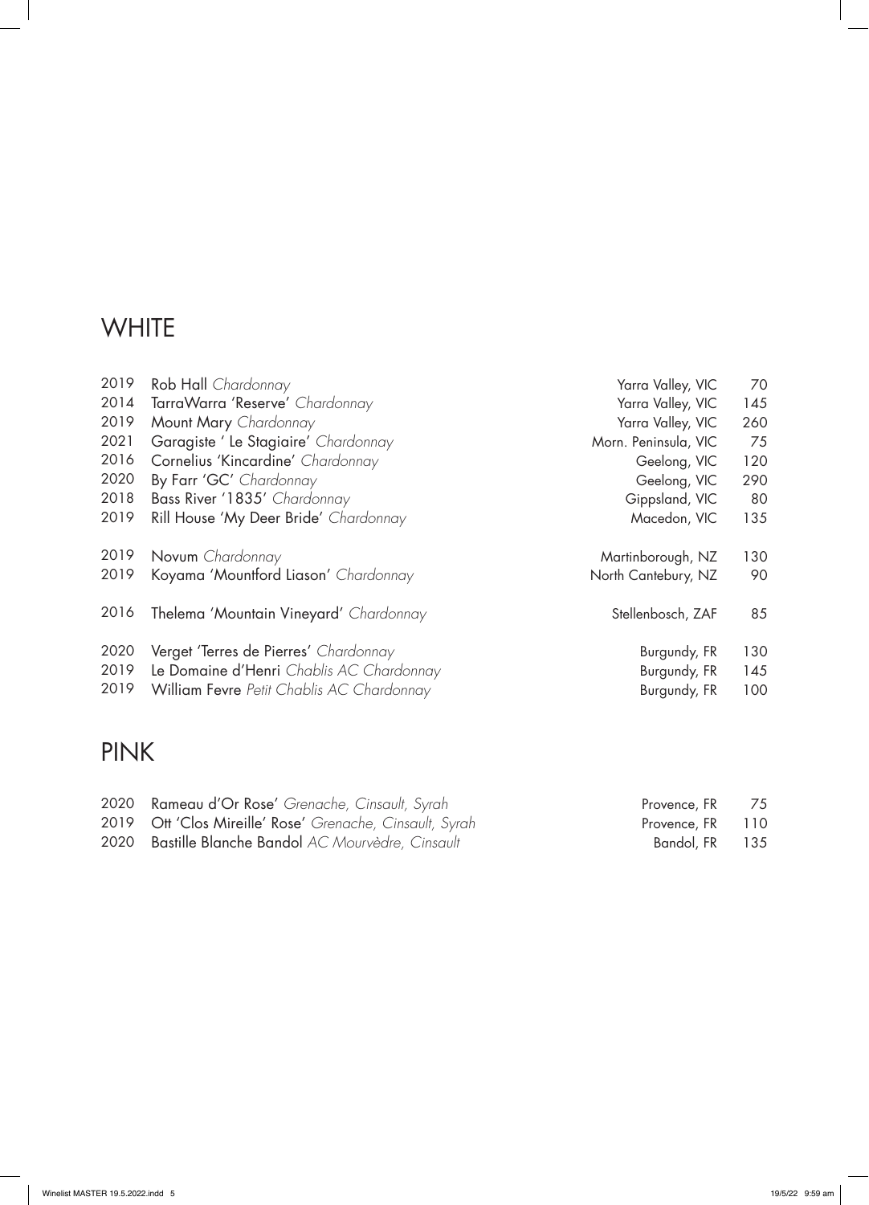## **WHITE**

| 2019 | Rob Hall Chardonnay                       | Yarra Valley, VIC    | 70  |
|------|-------------------------------------------|----------------------|-----|
| 2014 | TarraWarra 'Reserve' Chardonnay           | Yarra Valley, VIC    | 145 |
| 2019 | Mount Mary Chardonnay                     | Yarra Valley, VIC    | 260 |
| 2021 | Garagiste ' Le Stagiaire' Chardonnay      | Morn. Peninsula, VIC | 75  |
| 2016 | Cornelius 'Kincardine' Chardonnay         | Geelong, VIC         | 120 |
| 2020 | By Farr 'GC' Chardonnay                   | Geelong, VIC         | 290 |
| 2018 | Bass River '1835' Chardonnay              | Gippsland, VIC       | 80  |
| 2019 | Rill House 'My Deer Bride' Chardonnay     | Macedon, VIC         | 135 |
|      |                                           |                      |     |
| 2019 | Novum Chardonnay                          | Martinborough, NZ    | 130 |
| 2019 | Koyama 'Mountford Liason' Chardonnay      | North Cantebury, NZ  | 90  |
|      |                                           |                      |     |
| 2016 | Thelema 'Mountain Vineyard' Chardonnay    | Stellenbosch, ZAF    | 85  |
|      |                                           |                      |     |
|      |                                           |                      |     |
| 2020 | Verget 'Terres de Pierres' Chardonnay     | Burgundy, FR         | 130 |
| 2019 | Le Domaine d'Henri Chablis AC Chardonnay  | Burgundy, FR         | 145 |
| 2019 | William Fevre Petit Chablis AC Chardonnay | Burgundy, FR         | 100 |

## PINK

| 2020 Rameau d'Or Rose' Grenache, Cinsault, Syrah         | Provence, FR <sub>75</sub> |  |
|----------------------------------------------------------|----------------------------|--|
| 2019 Ott 'Clos Mireille' Rose' Grenache, Cinsault, Syrah | Provence, FR 110           |  |
| 2020 Bastille Blanche Bandol AC Mourvèdre, Cinsault      | Bandol, FR <sub>135</sub>  |  |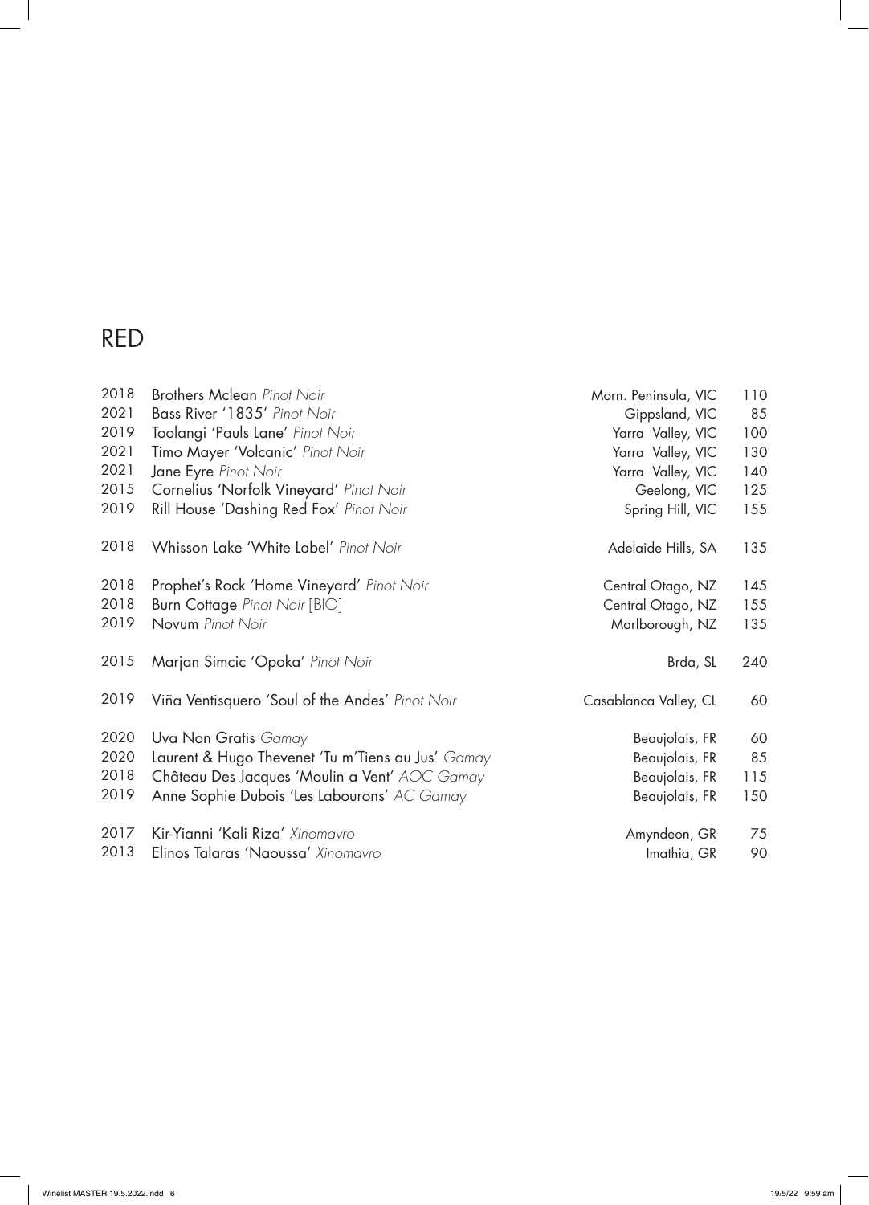| 2018 | <b>Brothers Mclean Pinot Noir</b>                 | Morn. Peninsula, VIC  | 110 |
|------|---------------------------------------------------|-----------------------|-----|
| 2021 | Bass River '1835' Pinot Noir                      | Gippsland, VIC        | 85  |
| 2019 | Toolangi 'Pauls Lane' Pinot Noir                  | Yarra Valley, VIC     | 100 |
| 2021 | Timo Mayer 'Volcanic' Pinot Noir                  | Yarra Valley, VIC     | 130 |
| 2021 | Jane Eyre Pinot Noir                              | Yarra Valley, VIC     | 140 |
| 2015 | Cornelius 'Norfolk Vineyard' Pinot Noir           | Geelong, VIC          | 125 |
| 2019 | Rill House 'Dashing Red Fox' Pinot Noir           | Spring Hill, VIC      | 155 |
| 2018 | Whisson Lake 'White Label' Pinot Noir             | Adelaide Hills, SA    | 135 |
| 2018 | Prophet's Rock 'Home Vineyard' Pinot Noir         | Central Otago, NZ     | 145 |
| 2018 | Burn Cottage Pinot Noir [BIO]                     | Central Otago, NZ     | 155 |
| 2019 | Novum Pinot Noir                                  | Marlborough, NZ       | 135 |
| 2015 | Marjan Simcic 'Opoka' Pinot Noir                  | Brda, SL              | 240 |
| 2019 | Viña Ventisquero 'Soul of the Andes' Pinot Noir   | Casablanca Valley, CL | 60  |
| 2020 | Uva Non Gratis Gamay                              | Beaujolais, FR        | 60  |
| 2020 | Laurent & Hugo Thevenet 'Tu m'Tiens au Jus' Gamay | Beaujolais, FR        | 85  |
| 2018 | Château Des Jacques 'Moulin a Vent' AOC Gamay     | Beaujolais, FR        | 115 |
| 2019 | Anne Sophie Dubois 'Les Labourons' AC Gamay       | Beaujolais, FR        | 150 |
| 2017 | Kir-Yianni 'Kali Riza' Xinomavro                  | Amyndeon, GR          | 75  |
| 2013 | Elinos Talaras 'Naoussa' Xinomavro                | Imathia, GR           | 90  |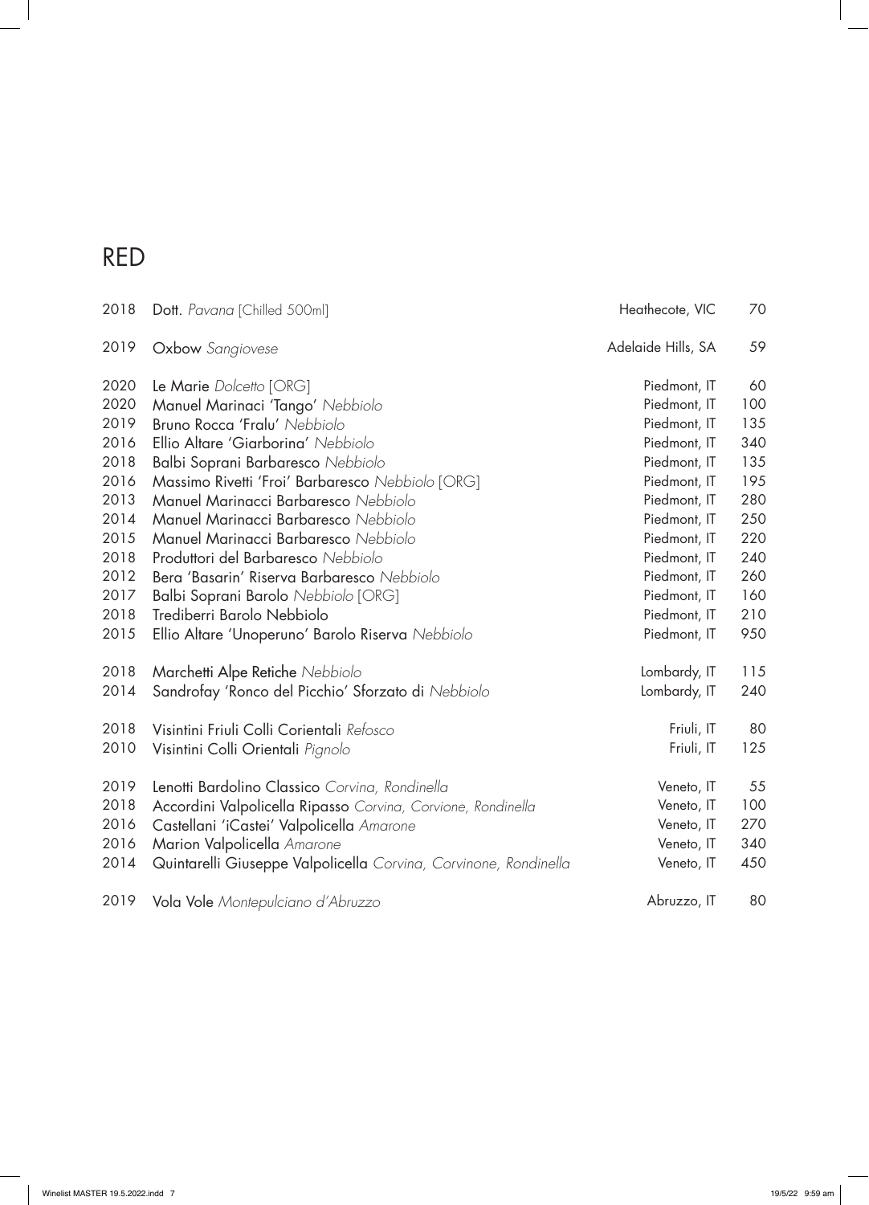$\overline{\phantom{a}}$ 

| 2018 | Dott. Pavana [Chilled 500ml]                                     | Heathecote, VIC    | 70  |
|------|------------------------------------------------------------------|--------------------|-----|
| 2019 | <b>Oxbow</b> Sangiovese                                          | Adelaide Hills, SA | 59  |
| 2020 | Le Marie Dolcetto [ORG]                                          | Piedmont, IT       | 60  |
| 2020 | Manuel Marinaci 'Tango' Nebbiolo                                 | Piedmont, IT       | 100 |
| 2019 | Bruno Rocca 'Fralu' Nebbiolo                                     | Piedmont, IT       | 135 |
| 2016 | Ellio Altare 'Giarborina' Nebbiolo                               | Piedmont, IT       | 340 |
| 2018 | Balbi Soprani Barbaresco Nebbiolo                                | Piedmont, IT       | 135 |
| 2016 | Massimo Rivetti 'Froi' Barbaresco Nebbiolo [ORG]                 | Piedmont, IT       | 195 |
| 2013 | Manuel Marinacci Barbaresco Nebbiolo                             | Piedmont, IT       | 280 |
| 2014 | Manuel Marinacci Barbaresco Nebbiolo                             | Piedmont, IT       | 250 |
| 2015 | Manuel Marinacci Barbaresco Nebbiolo                             | Piedmont, IT       | 220 |
| 2018 | Produttori del Barbaresco Nebbiolo                               | Piedmont, IT       | 240 |
| 2012 | Bera 'Basarin' Riserva Barbaresco Nebbiolo                       | Piedmont, IT       | 260 |
| 2017 | Balbi Soprani Barolo Nebbiolo [ORG]                              | Piedmont, IT       | 160 |
| 2018 | Trediberri Barolo Nebbiolo                                       | Piedmont, IT       | 210 |
| 2015 | Ellio Altare 'Unoperuno' Barolo Riserva Nebbiolo                 | Piedmont, IT       | 950 |
| 2018 | Marchetti Alpe Retiche Nebbiolo                                  | Lombardy, IT       | 115 |
| 2014 | Sandrofay 'Ronco del Picchio' Sforzato di Nebbiolo               | Lombardy, IT       | 240 |
| 2018 | Visintini Friuli Colli Corientali Refosco                        | Friuli, IT         | 80  |
| 2010 | Visintini Colli Orientali Pignolo                                | Friuli, IT         | 125 |
| 2019 | Lenotti Bardolino Classico Corvina, Rondinella                   | Veneto, IT         | 55  |
| 2018 | Accordini Valpolicella Ripasso Corvina, Corvione, Rondinella     | Veneto, IT         | 100 |
| 2016 | Castellani 'iCastei' Valpolicella Amarone                        | Veneto, IT         | 270 |
| 2016 | Marion Valpolicella Amarone                                      | Veneto, IT         | 340 |
| 2014 | Quintarelli Giuseppe Valpolicella Corvina, Corvinone, Rondinella | Veneto, IT         | 450 |
| 2019 | Vola Vole Montepulciano d'Abruzzo                                | Abruzzo, IT        | 80  |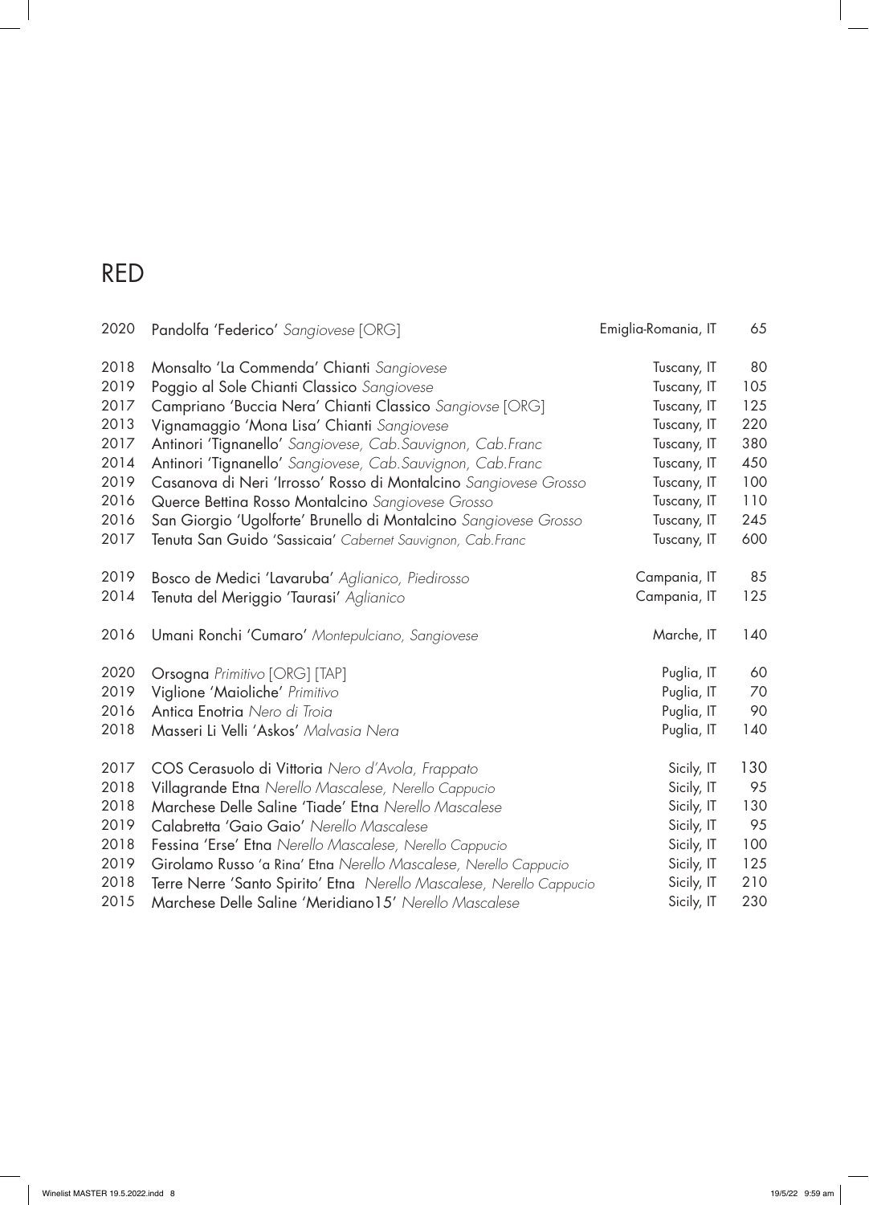| 2020 | Pandolfa 'Federico' Sangiovese [ORG]                                 | Emiglia-Romania, IT | 65  |
|------|----------------------------------------------------------------------|---------------------|-----|
| 2018 | Monsalto 'La Commenda' Chianti Sangiovese                            | Tuscany, IT         | 80  |
| 2019 | Poggio al Sole Chianti Classico Sangiovese                           | Tuscany, IT         | 105 |
| 2017 | Campriano 'Buccia Nera' Chianti Classico Sangiovse [ORG]             | Tuscany, IT         | 125 |
| 2013 | Vignamaggio 'Mona Lisa' Chianti Sangiovese                           | Tuscany, IT         | 220 |
| 2017 | Antinori 'Tignanello' Sangiovese, Cab. Sauvignon, Cab. Franc         | Tuscany, IT         | 380 |
| 2014 | Antinori 'Tignanello' Sangiovese, Cab. Sauvignon, Cab. Franc         | Tuscany, IT         | 450 |
| 2019 | Casanova di Neri 'Irrosso' Rosso di Montalcino Sangiovese Grosso     | Tuscany, IT         | 100 |
| 2016 | Querce Bettina Rosso Montalcino Sangiovese Grosso                    | Tuscany, IT         | 110 |
| 2016 | San Giorgio 'Ugolforte' Brunello di Montalcino Sangiovese Grosso     | Tuscany, IT         | 245 |
| 2017 | Tenuta San Guido 'Sassicaia' Cabernet Sauvignon, Cab. Franc          | Tuscany, IT         | 600 |
| 2019 | Bosco de Medici 'Lavaruba' Aglianico, Piedirosso                     | Campania, IT        | 85  |
| 2014 | Tenuta del Meriggio 'Taurasi' Aglianico                              | Campania, IT        | 125 |
| 2016 | Umani Ronchi 'Cumaro' Montepulciano, Sangiovese                      | Marche, IT          | 140 |
| 2020 | Orsogna Primitivo [ORG] [TAP]                                        | Puglia, IT          | 60  |
| 2019 | Viglione 'Maioliche' Primitivo                                       | Puglia, IT          | 70  |
| 2016 | Antica Enotria Nero di Troia                                         | Puglia, IT          | 90  |
| 2018 | Masseri Li Velli 'Askos' Malvasia Nera                               | Puglia, IT          | 140 |
| 2017 | COS Cerasuolo di Vittoria Nero d'Avola, Frappato                     | Sicily, IT          | 130 |
| 2018 | Villagrande Etna Nerello Mascalese, Nerello Cappucio                 | Sicily, IT          | 95  |
| 2018 | Marchese Delle Saline 'Tiade' Etna Nerello Mascalese                 | Sicily, IT          | 130 |
| 2019 | Calabretta 'Gaio Gaio' Nerello Mascalese                             | Sicily, IT          | 95  |
| 2018 | Fessina 'Erse' Etna Nerello Mascalese, Nerello Cappucio              | Sicily, IT          | 100 |
| 2019 | Girolamo Russo 'a Rina' Etna Nerello Mascalese, Nerello Cappucio     | Sicily, IT          | 125 |
| 2018 | Terre Nerre 'Santo Spirito' Etna Nerello Mascalese, Nerello Cappucio | Sicily, IT          | 210 |
| 2015 | Marchese Delle Saline 'Meridiano15' Nerello Mascalese                | Sicily, IT          | 230 |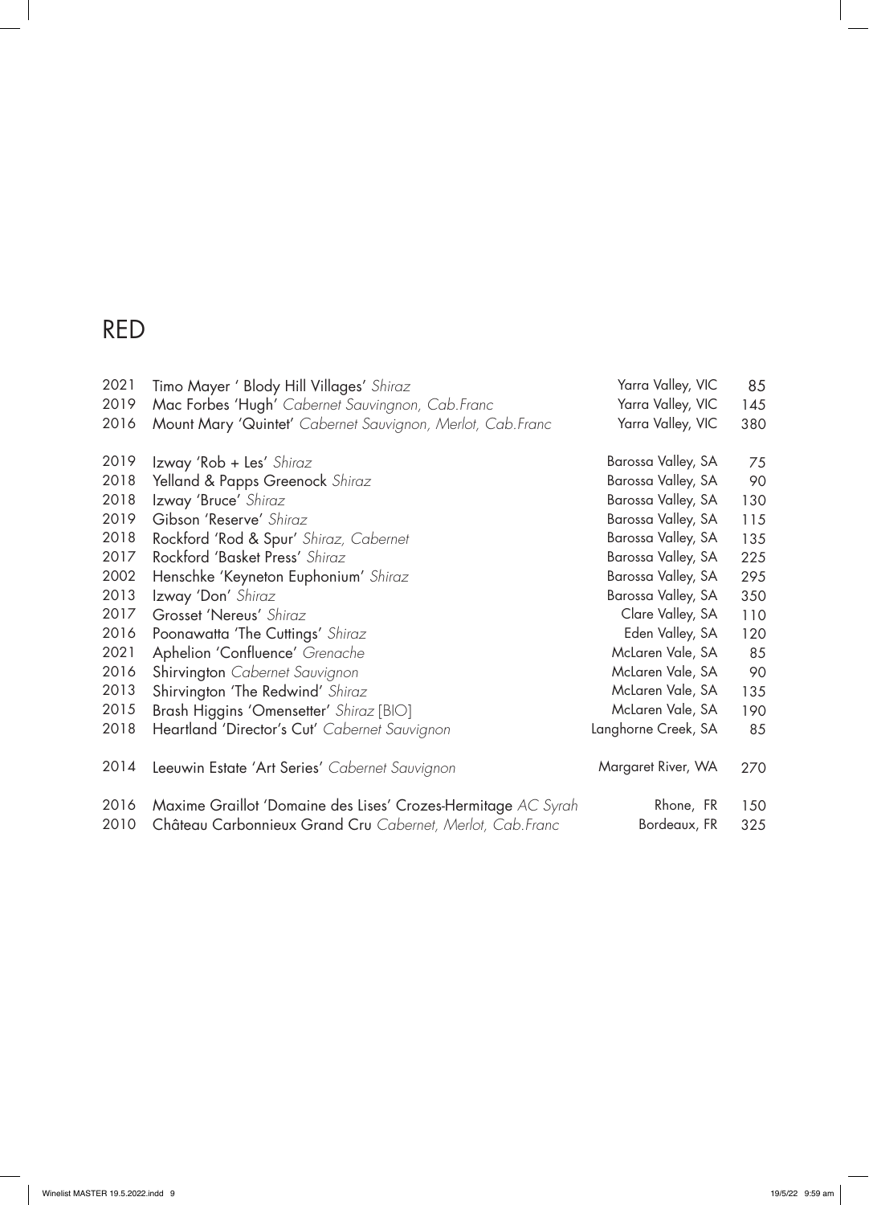$\overline{\phantom{a}}$ 

| 2021 | Timo Mayer ' Blody Hill Villages' Shiraz                      | Yarra Valley, VIC   | 85  |
|------|---------------------------------------------------------------|---------------------|-----|
| 2019 | Mac Forbes 'Hugh' Cabernet Sauvingnon, Cab. Franc             | Yarra Valley, VIC   | 145 |
| 2016 | Mount Mary 'Quintet' Cabernet Sauvignon, Merlot, Cab. Franc   | Yarra Valley, VIC   | 380 |
| 2019 | Izway 'Rob + Les' Shiraz                                      | Barossa Valley, SA  | 75  |
| 2018 | Yelland & Papps Greenock Shiraz                               | Barossa Valley, SA  | 90  |
| 2018 | Izway 'Bruce' Shiraz                                          | Barossa Valley, SA  | 130 |
| 2019 | Gibson 'Reserve' Shiraz                                       | Barossa Valley, SA  | 115 |
| 2018 | Rockford 'Rod & Spur' Shiraz, Cabernet                        | Barossa Valley, SA  | 135 |
| 2017 | Rockford 'Basket Press' Shiraz                                | Barossa Valley, SA  | 225 |
| 2002 | Henschke 'Keyneton Euphonium' Shiraz                          | Barossa Valley, SA  | 295 |
| 2013 | Izway 'Don' Shiraz                                            | Barossa Valley, SA  | 350 |
| 2017 | Grosset 'Nereus' Shiraz                                       | Clare Valley, SA    | 110 |
| 2016 | Poonawatta 'The Cuttings' Shiraz                              | Eden Valley, SA     | 120 |
| 2021 | Aphelion 'Confluence' Grenache                                | McLaren Vale, SA    | 85  |
| 2016 | Shirvington Cabernet Sauvignon                                | McLaren Vale, SA    | 90  |
| 2013 | Shirvington 'The Redwind' Shiraz                              | McLaren Vale, SA    | 135 |
| 2015 | Brash Higgins 'Omensetter' Shiraz [BIO]                       | McLaren Vale, SA    | 190 |
| 2018 | Heartland 'Director's Cut' Cabernet Sauvignon                 | Langhorne Creek, SA | 85  |
| 2014 | Leeuwin Estate 'Art Series' Cabernet Sauvignon                | Margaret River, WA  | 270 |
| 2016 | Maxime Graillot 'Domaine des Lises' Crozes-Hermitage AC Syrah | Rhone, FR           | 150 |
| 2010 | Château Carbonnieux Grand Cru Cabernet, Merlot, Cab. Franc    | Bordeaux, FR        | 325 |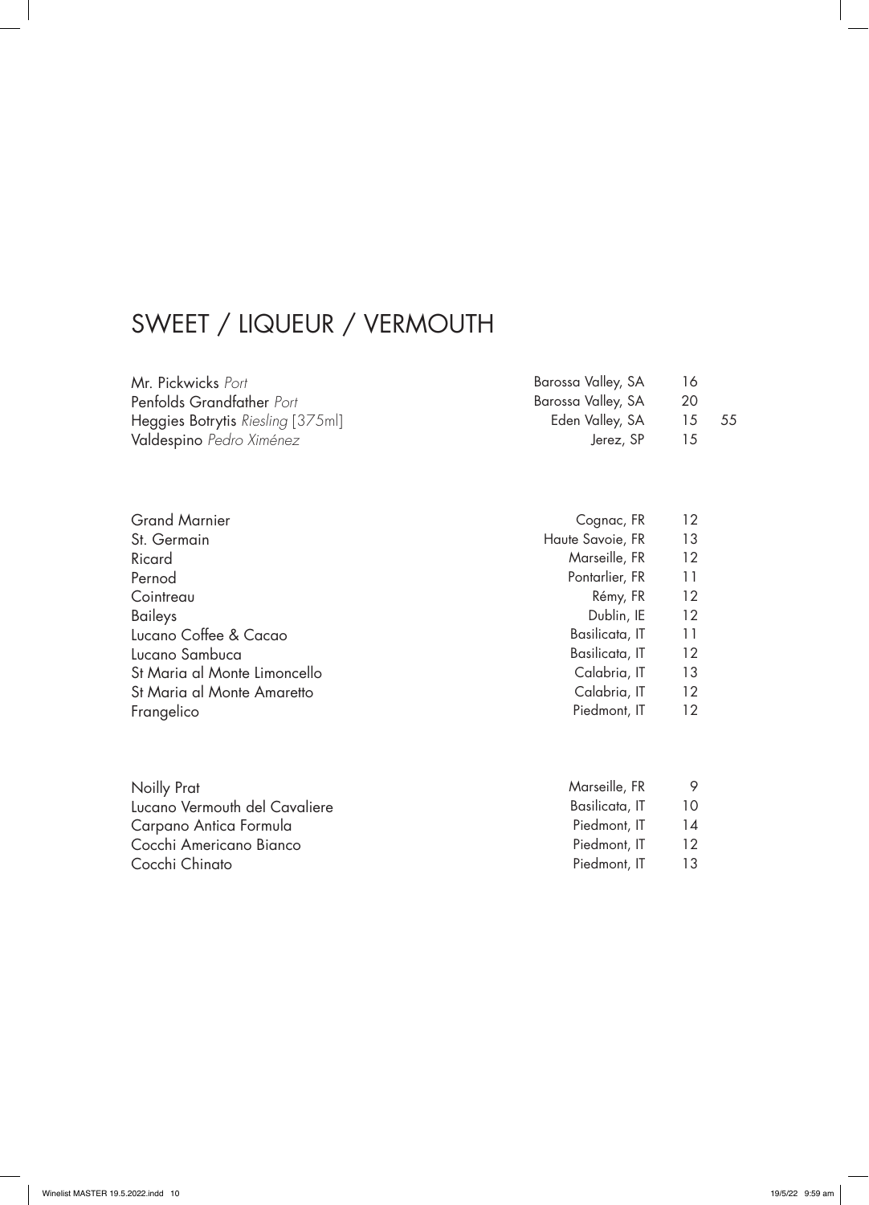## SWEET / LIQUEUR / VERMOUTH

| Mr. Pickwicks Port                | Barossa Valley, SA | 16             |      |
|-----------------------------------|--------------------|----------------|------|
| Penfolds Grandfather Port         | Barossa Valley, SA | 20             |      |
| Heggies Botrytis Riesling [375ml] | Eden Valley, SA    | $15$ $\sim$    | - 55 |
| Valdespino Pedro Ximénez          | Jerez, SP          | $\overline{5}$ |      |

| <b>Grand Marnier</b>         | Cognac, FR       | 12 |
|------------------------------|------------------|----|
| St. Germain                  | Haute Savoie, FR | 13 |
| Ricard                       | Marseille, FR    | 12 |
| Pernod                       | Pontarlier, FR   | 11 |
| Cointreau                    | Rémy, FR         | 12 |
| Baileys                      | Dublin, IE       | 12 |
| Lucano Coffee & Cacao        | Basilicata, IT   | 11 |
| Lucano Sambuca               | Basilicata, IT   | 12 |
| St Maria al Monte Limoncello | Calabria, IT     | 13 |
| St Maria al Monte Amaretto   | Calabria, IT     | 12 |
| Frangelico                   | Piedmont, IT     | 12 |

| Noilly Prat                   | Marseille, FR  |    |
|-------------------------------|----------------|----|
| Lucano Vermouth del Cavaliere | Basilicata, IT | 10 |
| Carpano Antica Formula        | Piedmont, IT   | 14 |
| Cocchi Americano Bianco       | Piedmont, IT   | 12 |
| Cocchi Chinato                | Piedmont, IT   | 13 |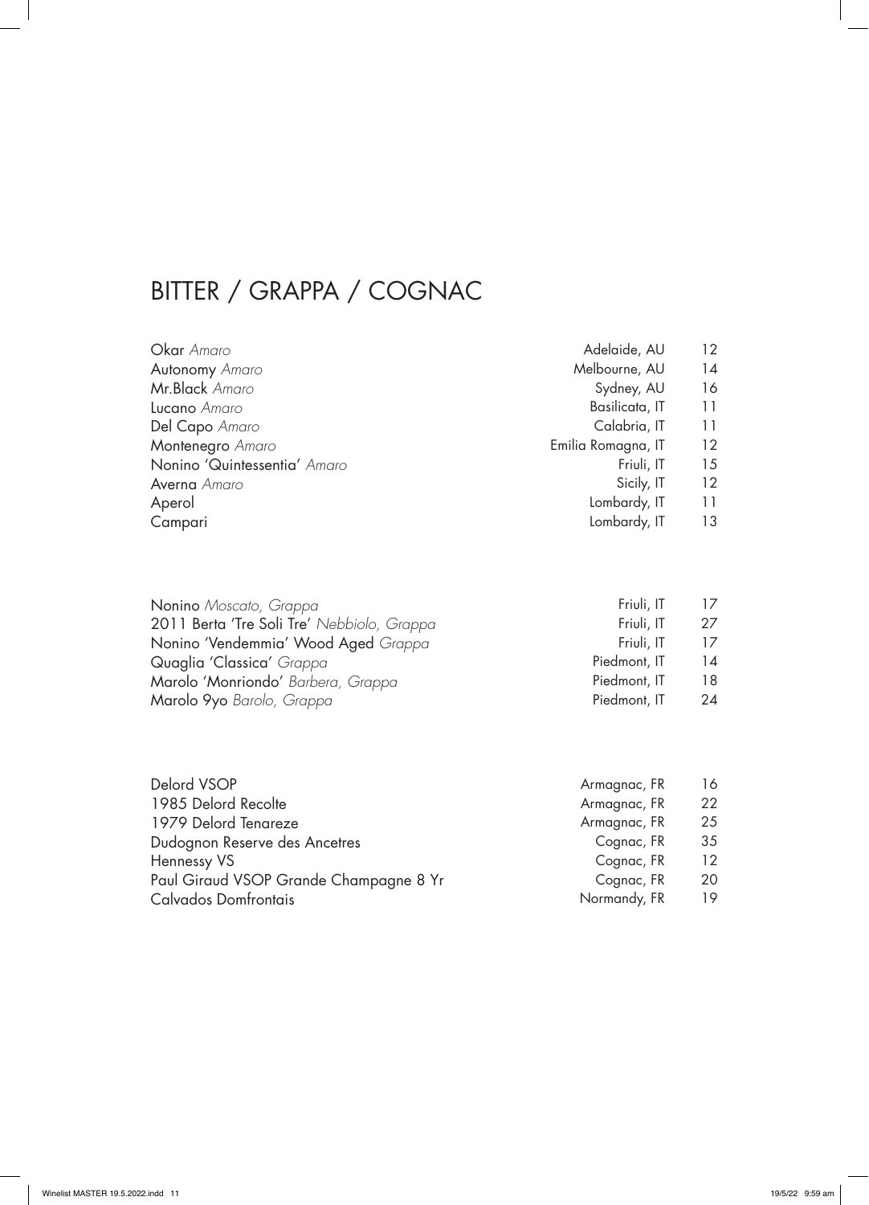## BITTER / GRAPPA / COGNAC

| <b>Okar</b> Amaro            | Adelaide, AU       | 12 <sup>°</sup>   |
|------------------------------|--------------------|-------------------|
| Autonomy Amaro               | Melbourne, AU      | 14                |
| Mr.Black Amaro               | Sydney, AU         | 16                |
| <b>Lucano</b> Amaro          | Basilicata, IT     | 11                |
| Del Capo Amaro               | Calabria, IT       | 11                |
| Montenegro Amaro             | Emilia Romagna, IT | 12 <sup>°</sup>   |
| Nonino 'Quintessentia' Amaro | Friuli, IT         | 15                |
| <b>Averna</b> Amaro          | Sicily, IT         | $12 \overline{ }$ |
| Aperol                       | Lombardy, IT       | 11                |
| Campari                      | Lombardy, IT       | 13                |

| Nonino Moscato, Grappa                     | Friuli, IT   | 17 |
|--------------------------------------------|--------------|----|
| 2011 Berta 'Tre Soli Tre' Nebbiolo, Grappa | Friuli, IT   | 27 |
| Nonino 'Vendemmia' Wood Aged Grappa        | Friuli, IT   | 17 |
| Quaglia 'Classica' Grappa                  | Piedmont, IT | 14 |
| Marolo 'Monriondo' Barbera, Grappa         | Piedmont, IT | 18 |
| Marolo 9yo Barolo, Grappa                  | Piedmont, IT | 24 |

| Delord VSOP                            | Armagnac, FR | 16              |
|----------------------------------------|--------------|-----------------|
| 1985 Delord Recolte                    | Armagnac, FR | 22              |
| 1979 Delord Tenareze                   | Armagnac, FR | 25              |
| Dudognon Reserve des Ancetres          | Cognac, FR   | 35              |
| Hennessy VS                            | Cognac, FR   | 12 <sup>°</sup> |
| Paul Giraud VSOP Grande Champagne 8 Yr | Cognac, FR   | 20.             |
| Calvados Domfrontais                   | Normandy, FR | 19              |
|                                        |              |                 |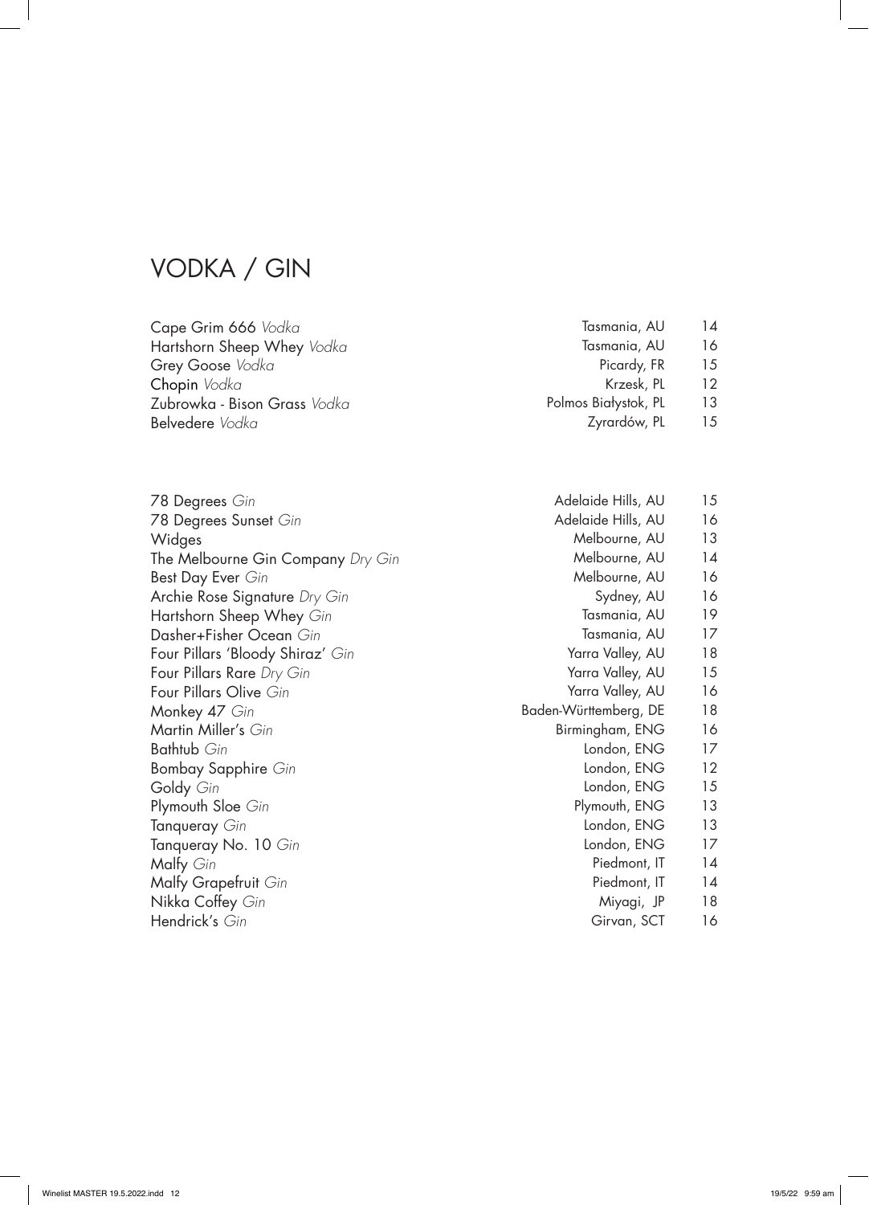#### VODKA / GIN

| Cape Grim 666 Vodka                 | Tasmania, AU         | 14 |
|-------------------------------------|----------------------|----|
| Hartshorn Sheep Whey Vodka          | Tasmania, AU         | 16 |
| Grey Goose Vodka                    | Picardy, FR          | 15 |
| <b>Chopin</b> Vodka                 | Krzesk, PL           | 12 |
| Zubrowka - Bison Grass <i>Vodka</i> | Polmos Białystok, PL | 13 |
| Belvedere Vodka                     | Zyrardów, PL         | 15 |
|                                     |                      |    |
|                                     |                      |    |

78 Degrees *Gin* 78 Degrees Sunset *Gin* Widges The Melbourne Gin Company *Dry Gin* Best Day Ever *Gin* Archie Rose Signature *Dry Gin* Hartshorn Sheep Whey *Gin* Dasher+Fisher Ocean *Gin* Four Pillars 'Bloody Shiraz' *Gin* Four Pillars Rare *Dry Gin* Four Pillars Olive *Gin* Monkey 47 *Gin* Martin Miller's *Gin* Bathtub *Gin* Bombay Sapphire *Gin* Goldy *Gin* Plymouth Sloe *Gin* Tanqueray *Gin* Tanqueray No. 10 *Gin* Malfy *Gin* Malfy Grapefruit *Gin* Nikka Coffey *Gin* Hendrick's *Gin*

| Adelaide Hills, AU    | 15 |
|-----------------------|----|
| Adelaide Hills, AU    | 16 |
| Melbourne, AU         | 13 |
| Melbourne, AU         | 14 |
| Melbourne, AU         | 16 |
| Sydney, AU            | 16 |
| Tasmania, AU          | 19 |
| Tasmania, AU          | 17 |
| Yarra Valley, AU      | 18 |
| Yarra Valley, AU      | 15 |
| Yarra Valley, AU      | 16 |
| Baden-Württemberg, DE | 18 |
| Birmingham, ENG       | 16 |
| London, ENG           | 17 |
| London, ENG           | 12 |
| London, ENG           | 15 |
| Plymouth, ENG         | 13 |
| London, ENG           | 13 |
| London, ENG           | 17 |
| Piedmont, IT          | 14 |
| Piedmont, IT          | 14 |
| Miyagi, JP            | 18 |
| Girvan, SCT           | 16 |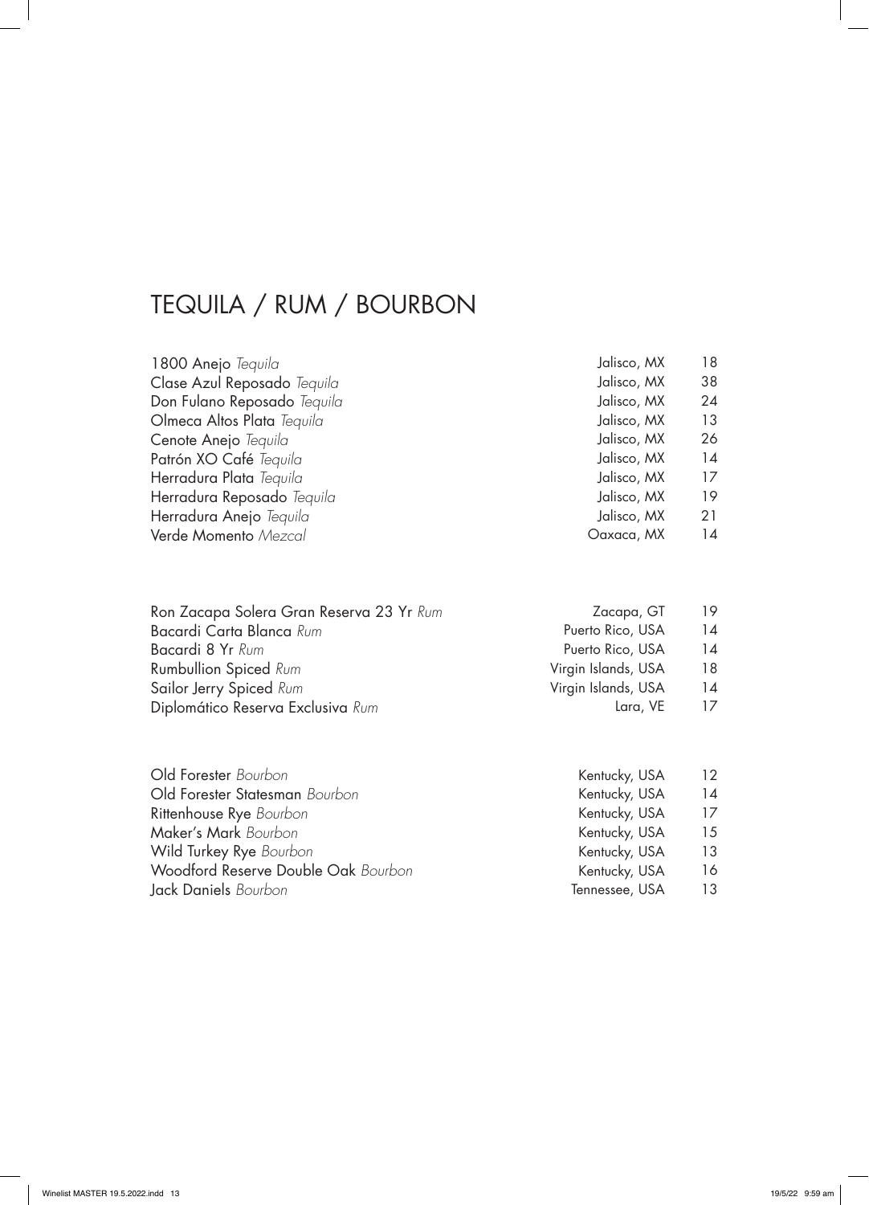## TEQUILA / RUM / BOURBON

| 1800 Anejo Tequila                 | Jalisco, MX | 18 |
|------------------------------------|-------------|----|
| Clase Azul Reposado Tequila        | Jalisco, MX | 38 |
| Don Fulano Reposado <i>Tequila</i> | Jalisco, MX | 24 |
| Olmeca Altos Plata Tequila         | Jalisco, MX | 13 |
| Cenote Anejo <i>Tequila</i>        | Jalisco, MX | 26 |
| Patrón XO Café Tequila             | Jalisco, MX | 14 |
| Herradura Plata Tequila            | Jalisco, MX | 17 |
| Herradura Reposado Tequila         | Jalisco, MX | 19 |
| Herradura Anejo <i>Tequila</i>     | Jalisco, MX | 21 |
| Verde Momento Mezcal               | Oaxaca, MX  | 14 |

| Zacapa, GT          | 19 |
|---------------------|----|
| Puerto Rico, USA    | 14 |
| Puerto Rico, USA    | 14 |
| Virgin Islands, USA | 18 |
| Virgin Islands, USA | 14 |
| Lara, VE            | 17 |
|                     |    |

| Kentucky, USA  | 12 |
|----------------|----|
| Kentucky, USA  | 14 |
| Kentucky, USA  | 17 |
| Kentucky, USA  | 15 |
| Kentucky, USA  | 13 |
| Kentucky, USA  | 16 |
| Tennessee, USA | 13 |
|                |    |